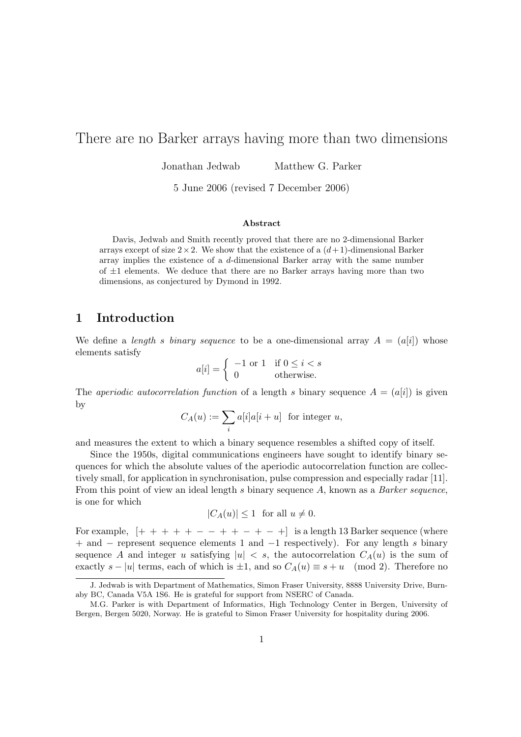# There are no Barker arrays having more than two dimensions

Jonathan Jedwab Matthew G. Parker

5 June 2006 (revised 7 December 2006)

#### Abstract

Davis, Jedwab and Smith recently proved that there are no 2-dimensional Barker arrays except of size  $2 \times 2$ . We show that the existence of a  $(d+1)$ -dimensional Barker array implies the existence of a d-dimensional Barker array with the same number of  $\pm 1$  elements. We deduce that there are no Barker arrays having more than two dimensions, as conjectured by Dymond in 1992.

#### 1 Introduction

We define a length s binary sequence to be a one-dimensional array  $A = (a[i])$  whose elements satisfy

$$
a[i] = \begin{cases} -1 \text{ or } 1 & \text{if } 0 \le i < s \\ 0 & \text{otherwise.} \end{cases}
$$

The *aperiodic autocorrelation function* of a length s binary sequence  $A = (a[i])$  is given by

$$
C_A(u) := \sum_i a[i]a[i+u] \text{ for integer } u,
$$

and measures the extent to which a binary sequence resembles a shifted copy of itself.

Since the 1950s, digital communications engineers have sought to identify binary sequences for which the absolute values of the aperiodic autocorrelation function are collectively small, for application in synchronisation, pulse compression and especially radar [11]. From this point of view an ideal length s binary sequence A, known as a Barker sequence, is one for which

$$
|C_A(u)| \le 1 \quad \text{for all } u \ne 0.
$$

For example,  $[+ + + + - - + + - +]$  is a length 13 Barker sequence (where + and − represent sequence elements 1 and −1 respectively). For any length s binary sequence A and integer u satisfying  $|u| < s$ , the autocorrelation  $C_A(u)$  is the sum of exactly  $s - |u|$  terms, each of which is  $\pm 1$ , and so  $C_A(u) \equiv s + u \pmod{2}$ . Therefore no

J. Jedwab is with Department of Mathematics, Simon Fraser University, 8888 University Drive, Burnaby BC, Canada V5A 1S6. He is grateful for support from NSERC of Canada.

M.G. Parker is with Department of Informatics, High Technology Center in Bergen, University of Bergen, Bergen 5020, Norway. He is grateful to Simon Fraser University for hospitality during 2006.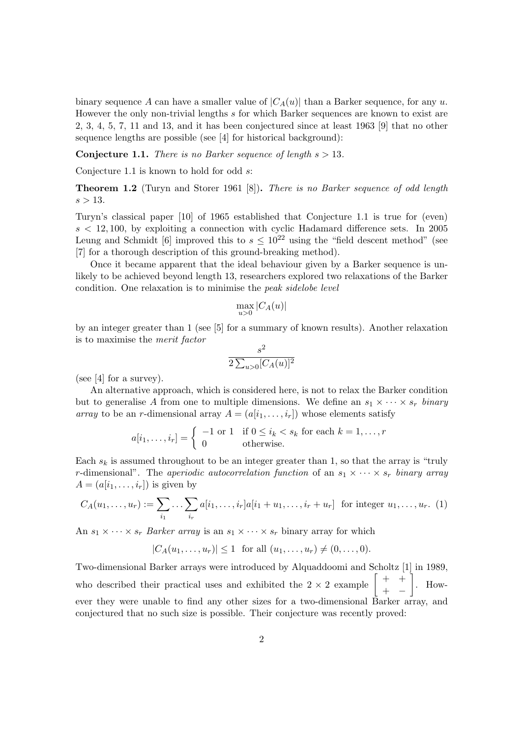binary sequence A can have a smaller value of  $|C_A(u)|$  than a Barker sequence, for any u. However the only non-trivial lengths s for which Barker sequences are known to exist are 2, 3, 4, 5, 7, 11 and 13, and it has been conjectured since at least 1963 [9] that no other sequence lengths are possible (see [4] for historical background):

**Conjecture 1.1.** There is no Barker sequence of length  $s > 13$ .

Conjecture 1.1 is known to hold for odd s:

Theorem 1.2 (Turyn and Storer 1961 [8]). There is no Barker sequence of odd length  $s > 13$ .

Turyn's classical paper [10] of 1965 established that Conjecture 1.1 is true for (even)  $s < 12,100$ , by exploiting a connection with cyclic Hadamard difference sets. In 2005 Leung and Schmidt [6] improved this to  $s \leq 10^{22}$  using the "field descent method" (see [7] for a thorough description of this ground-breaking method).

Once it became apparent that the ideal behaviour given by a Barker sequence is unlikely to be achieved beyond length 13, researchers explored two relaxations of the Barker condition. One relaxation is to minimise the peak sidelobe level

$$
\max_{u>0} |C_A(u)|
$$

by an integer greater than 1 (see [5] for a summary of known results). Another relaxation is to maximise the merit factor

$$
\frac{s^2}{2\sum_{u>0}[C_A(u)]^2}
$$

(see [4] for a survey).

An alternative approach, which is considered here, is not to relax the Barker condition but to generalise A from one to multiple dimensions. We define an  $s_1 \times \cdots \times s_r$  binary array to be an r-dimensional array  $A = (a[i_1, \ldots, i_r])$  whose elements satisfy

$$
a[i_1, \dots, i_r] = \begin{cases} -1 \text{ or } 1 & \text{if } 0 \le i_k < s_k \text{ for each } k = 1, \dots, r \\ 0 & \text{otherwise.} \end{cases}
$$

Each  $s_k$  is assumed throughout to be an integer greater than 1, so that the array is "truly" r-dimensional". The aperiodic autocorrelation function of an  $s_1 \times \cdots \times s_r$  binary array  $A = (a[i_1, \ldots, i_r])$  is given by

$$
C_A(u_1, ..., u_r) := \sum_{i_1} ... \sum_{i_r} a[i_1, ..., i_r] a[i_1 + u_1, ..., i_r + u_r]
$$
 for integer  $u_1, ..., u_r$ . (1)

An  $s_1 \times \cdots \times s_r$  Barker array is an  $s_1 \times \cdots \times s_r$  binary array for which

 $|C_A(u_1, \ldots, u_r)| \leq 1$  for all  $(u_1, \ldots, u_r) \neq (0, \ldots, 0)$ .

Two-dimensional Barker arrays were introduced by Alquaddoomi and Scholtz [1] in 1989, Two-dimensional Barker arrays were introduced by Alquaddoomi and Schottz [ $\frac{+}{+}$  +  $+$   $\Big|$ . However they were unable to find any other sizes for a two-dimensional Barker array, and conjectured that no such size is possible. Their conjecture was recently proved: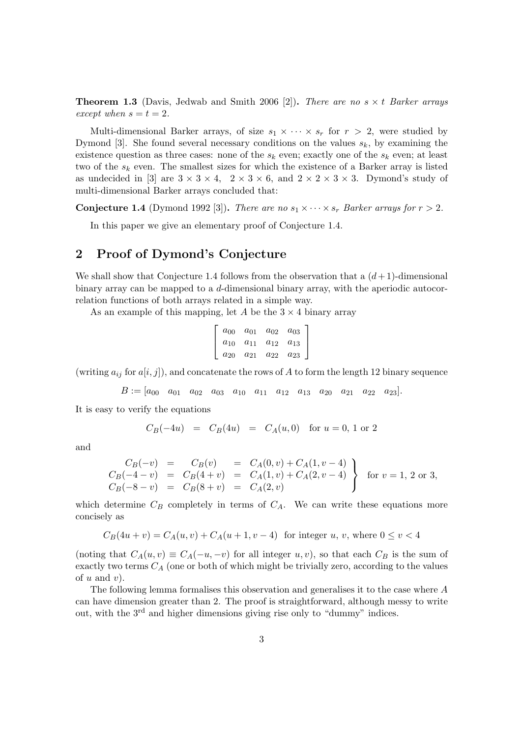**Theorem 1.3** (Davis, Jedwab and Smith 2006 [2]). There are no  $s \times t$  Barker arrays except when  $s = t = 2$ .

Multi-dimensional Barker arrays, of size  $s_1 \times \cdots \times s_r$  for  $r > 2$ , were studied by Dymond [3]. She found several necessary conditions on the values  $s_k$ , by examining the existence question as three cases: none of the  $s_k$  even; exactly one of the  $s_k$  even; at least two of the  $s_k$  even. The smallest sizes for which the existence of a Barker array is listed as undecided in [3] are  $3 \times 3 \times 4$ ,  $2 \times 3 \times 6$ , and  $2 \times 2 \times 3 \times 3$ . Dymond's study of multi-dimensional Barker arrays concluded that:

**Conjecture 1.4** (Dymond 1992 [3]). There are no  $s_1 \times \cdots \times s_r$  Barker arrays for  $r > 2$ .

In this paper we give an elementary proof of Conjecture 1.4.

### 2 Proof of Dymond's Conjecture

We shall show that Conjecture 1.4 follows from the observation that a  $(d+1)$ -dimensional binary array can be mapped to a d-dimensional binary array, with the aperiodic autocorrelation functions of both arrays related in a simple way.

As an example of this mapping, let A be the  $3 \times 4$  binary array

$$
\left[\begin{array}{cccc} a_{00} & a_{01} & a_{02} & a_{03} \\ a_{10} & a_{11} & a_{12} & a_{13} \\ a_{20} & a_{21} & a_{22} & a_{23} \end{array}\right]
$$

(writing  $a_{ij}$  for  $a[i, j]$ ), and concatenate the rows of A to form the length 12 binary sequence

$$
B := [a_{00} \quad a_{01} \quad a_{02} \quad a_{03} \quad a_{10} \quad a_{11} \quad a_{12} \quad a_{13} \quad a_{20} \quad a_{21} \quad a_{22} \quad a_{23}].
$$

It is easy to verify the equations

$$
C_B(-4u) = C_B(4u) = C_A(u,0)
$$
 for  $u = 0, 1$  or 2

and

$$
C_B(-v) = C_B(v) = C_A(0, v) + C_A(1, v - 4)
$$
  
\n
$$
C_B(-4 - v) = C_B(4 + v) = C_A(1, v) + C_A(2, v - 4)
$$
  
\n
$$
C_B(-8 - v) = C_B(8 + v) = C_A(2, v)
$$
 for  $v = 1, 2$  or 3,

which determine  $C_B$  completely in terms of  $C_A$ . We can write these equations more concisely as

$$
C_B(4u+v) = C_A(u,v) + C_A(u+1,v-4)
$$
 for integer u, v, where  $0 \le v < 4$ 

(noting that  $C_A(u, v) \equiv C_A(-u, -v)$  for all integer  $u, v$ ), so that each  $C_B$  is the sum of exactly two terms  $C_A$  (one or both of which might be trivially zero, according to the values of  $u$  and  $v$ ).

The following lemma formalises this observation and generalises it to the case where A can have dimension greater than 2. The proof is straightforward, although messy to write out, with the 3rd and higher dimensions giving rise only to "dummy" indices.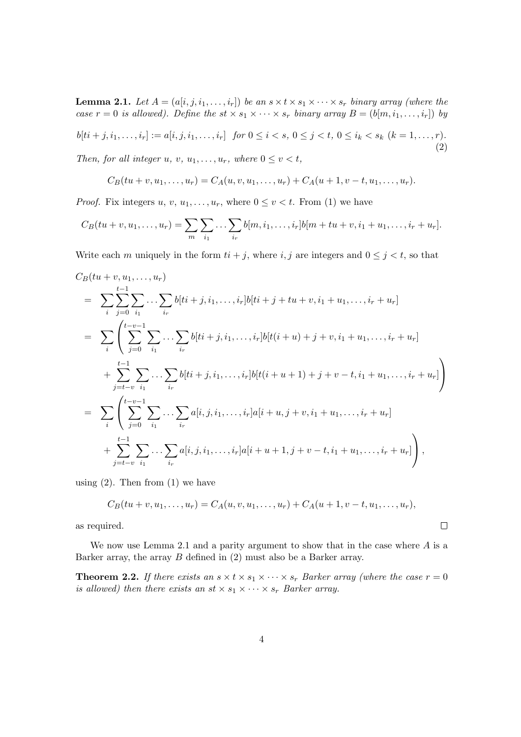**Lemma 2.1.** Let  $A = (a[i, j, i_1, \ldots, i_r])$  be an  $s \times t \times s_1 \times \cdots \times s_r$  binary array (where the case  $r = 0$  is allowed). Define the st  $\times s_1 \times \cdots \times s_r$  binary array  $B = (b[m, i_1, \ldots, i_r])$  by

 $b[ti + j, i_1, \ldots, i_r] := a[i, j, i_1, \ldots, i_r]$  for  $0 \leq i < s$ ,  $0 \leq j < t$ ,  $0 \leq i_k < s_k$   $(k = 1, \ldots, r)$ . (2)

Then, for all integer u, v,  $u_1, \ldots, u_r$ , where  $0 \le v \le t$ ,

$$
C_B(tu + v, u_1, \dots, u_r) = C_A(u, v, u_1, \dots, u_r) + C_A(u + 1, v - t, u_1, \dots, u_r).
$$

*Proof.* Fix integers  $u, v, u_1, \ldots, u_r$ , where  $0 \le v < t$ . From (1) we have

$$
C_B(tu + v, u_1, \dots, u_r) = \sum_{m} \sum_{i_1} \dots \sum_{i_r} b[m, i_1, \dots, i_r] b[m + tu + v, i_1 + u_1, \dots, i_r + u_r].
$$

Write each m uniquely in the form  $ti + j$ , where  $i, j$  are integers and  $0 \leq j < t$ , so that

$$
C_B(tu + v, u_1, ..., u_r)
$$
  
= 
$$
\sum_{i} \sum_{j=0}^{t-1} \sum_{i_1} ... \sum_{i_r} b[ti + j, i_1, ..., i_r]b[ti + j + tu + v, i_1 + u_1, ..., i_r + u_r]
$$
  
= 
$$
\sum_{i} \left( \sum_{j=0}^{t-v-1} \sum_{i_1} ... \sum_{i_r} b[ti + j, i_1, ..., i_r]b[t(i + u) + j + v, i_1 + u_1, ..., i_r + u_r]
$$
  
+ 
$$
\sum_{j=t-v}^{t-1} \sum_{i_1} ... \sum_{i_r} b[ti + j, i_1, ..., i_r]b[t(i + u + 1) + j + v - t, i_1 + u_1, ..., i_r + u_r]
$$
  
= 
$$
\sum_{i} \left( \sum_{j=0}^{t-v-1} \sum_{i_1} ... \sum_{i_r} a[i, j, i_1, ..., i_r]a[i + u, j + v, i_1 + u_1, ..., i_r + u_r]
$$
  
+ 
$$
\sum_{j=t-v}^{t-1} \sum_{i_1} ... \sum_{i_r} a[i, j, i_1, ..., i_r]a[i + u + 1, j + v - t, i_1 + u_1, ..., i_r + u_r]
$$

using  $(2)$ . Then from  $(1)$  we have

$$
C_B(tu + v, u_1, \dots, u_r) = C_A(u, v, u_1, \dots, u_r) + C_A(u + 1, v - t, u_1, \dots, u_r),
$$

 $\Box$ 

as required.

We now use Lemma 2.1 and a parity argument to show that in the case where  $A$  is a Barker array, the array  $B$  defined in  $(2)$  must also be a Barker array.

**Theorem 2.2.** If there exists an  $s \times t \times s_1 \times \cdots \times s_r$  Barker array (where the case  $r = 0$ is allowed) then there exists an  $st \times s_1 \times \cdots \times s_r$  Barker array.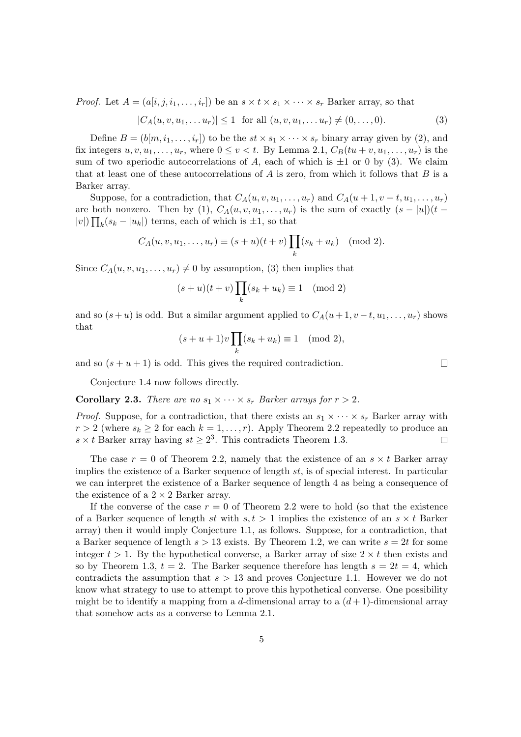*Proof.* Let  $A = (a[i, j, i_1, \ldots, i_r])$  be an  $s \times t \times s_1 \times \cdots \times s_r$  Barker array, so that

$$
|C_A(u, v, u_1, \dots u_r)| \le 1 \text{ for all } (u, v, u_1, \dots u_r) \ne (0, \dots, 0).
$$
 (3)

Define  $B = (b[m, i_1, \ldots, i_r])$  to be the  $st \times s_1 \times \cdots \times s_r$  binary array given by (2), and fix integers  $u, v, u_1, \ldots, u_r$ , where  $0 \le v < t$ . By Lemma 2.1,  $C_B(tu + v, u_1, \ldots, u_r)$  is the sum of two aperiodic autocorrelations of A, each of which is  $\pm 1$  or 0 by (3). We claim that at least one of these autocorrelations of  $A$  is zero, from which it follows that  $B$  is a Barker array.

Suppose, for a contradiction, that  $C_A(u, v, u_1, \ldots, u_r)$  and  $C_A(u + 1, v - t, u_1, \ldots, u_r)$ are both nonzero. Then by (1),  $C_A(u, v, u_1, \ldots, u_r)$  is the sum of exactly  $(s - |u|)(t |v|$ )  $\prod_k (s_k - |u_k|)$  terms, each of which is  $\pm 1$ , so that

$$
C_A(u, v, u_1,..., u_r) \equiv (s+u)(t+v) \prod_k (s_k + u_k) \pmod{2}.
$$

Since  $C_A(u, v, u_1, \ldots, u_r) \neq 0$  by assumption, (3) then implies that

$$
(s+u)(t+v)\prod_{k}(s_k+u_k) \equiv 1 \pmod{2}
$$

and so  $(s+u)$  is odd. But a similar argument applied to  $C_A(u+1, v-t, u_1, \ldots, u_r)$  shows that  $\overline{y}$ 

$$
(s+u+1)v\prod_k(s_k+u_k)\equiv 1\pmod{2},
$$

and so  $(s + u + 1)$  is odd. This gives the required contradiction.

Conjecture 1.4 now follows directly.

**Corollary 2.3.** There are no  $s_1 \times \cdots \times s_r$  Barker arrays for  $r > 2$ .

*Proof.* Suppose, for a contradiction, that there exists an  $s_1 \times \cdots \times s_r$  Barker array with  $r > 2$  (where  $s_k \geq 2$  for each  $k = 1, \ldots, r$ ). Apply Theorem 2.2 repeatedly to produce an  $s \times t$  Barker array having  $st \geq 2^3$ . This contradicts Theorem 1.3.  $\Box$ 

The case  $r = 0$  of Theorem 2.2, namely that the existence of an  $s \times t$  Barker array implies the existence of a Barker sequence of length st, is of special interest. In particular we can interpret the existence of a Barker sequence of length 4 as being a consequence of the existence of a  $2 \times 2$  Barker array.

If the converse of the case  $r = 0$  of Theorem 2.2 were to hold (so that the existence of a Barker sequence of length st with  $s, t > 1$  implies the existence of an  $s \times t$  Barker array) then it would imply Conjecture 1.1, as follows. Suppose, for a contradiction, that a Barker sequence of length  $s > 13$  exists. By Theorem 1.2, we can write  $s = 2t$  for some integer  $t > 1$ . By the hypothetical converse, a Barker array of size  $2 \times t$  then exists and so by Theorem 1.3,  $t = 2$ . The Barker sequence therefore has length  $s = 2t = 4$ , which contradicts the assumption that  $s > 13$  and proves Conjecture 1.1. However we do not know what strategy to use to attempt to prove this hypothetical converse. One possibility might be to identify a mapping from a d-dimensional array to a  $(d+1)$ -dimensional array that somehow acts as a converse to Lemma 2.1.

 $\Box$